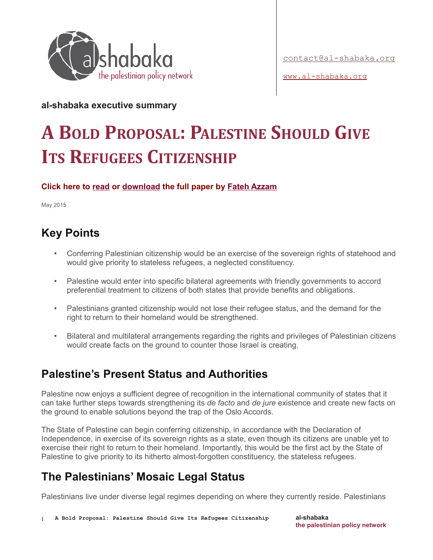

[www.al-shabaka.org](http://www.al-shabaka.org/)

**al-shabaka executive summary** 

# **A BOLD PROPOSAL: PALESTINE SHOULD GIVE ITS REFUGEES CITIZENSHIP**

**Click here to [read](http://al-shabaka.org/briefs/refugees-citizenship/) or [download](http://al-shabaka.org/wp-content/uploads/2015/05/Azzam_PolicyBrief_En-May_2015.pdf) the full paper by [Fateh Azzam](http://al-shabaka.org/en/author/FatehAzzam/)**

May 2015

# **Key Points**

- Conferring Palestinian citizenship would be an exercise of the sovereign rights of statehood and would give priority to stateless refugees, a neglected constituency.
- Palestine would enter into specific bilateral agreements with friendly governments to accord preferential treatment to citizens of both states that provide benefits and obligations.
- Palestinians granted citizenship would not lose their refugee status, and the demand for the right to return to their homeland would be strengthened.
- Bilateral and multilateral arrangements regarding the rights and privileges of Palestinian citizens would create facts on the ground to counter those Israel is creating.

## **Palestine's Present Status and Authorities**

Palestine now enjoys a sufficient degree of recognition in the international community of states that it can take further steps towards strengthening its *de facto* and *de jure* existence and create new facts on the ground to enable solutions beyond the trap of the Oslo Accords.

The State of Palestine can begin conferring citizenship, in accordance with the Declaration of Independence, in exercise of its sovereign rights as a state, even though its citizens are unable yet to exercise their right to return to their homeland. Importantly, this would be the first act by the State of Palestine to give priority to its hitherto almost-forgotten constituency, the stateless refugees.

# **The Palestinians' Mosaic Legal Status**

Palestinians live under diverse legal regimes depending on where they currently reside. Palestinians

1 **A Bold Proposal: Palestine Should Give Its Refugees Citizenship**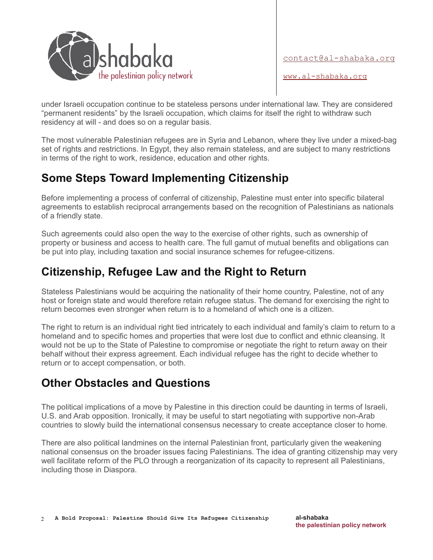

[contact@al-shabaka.org](mailto:contact@al-shabaka.org)

[www.al-shabaka.org](http://www.al-shabaka.org/)

under Israeli occupation continue to be stateless persons under international law. They are considered "permanent residents" by the Israeli occupation, which claims for itself the right to withdraw such residency at will - and does so on a regular basis.

The most vulnerable Palestinian refugees are in Syria and Lebanon, where they live under a mixed-bag set of rights and restrictions. In Egypt, they also remain stateless, and are subject to many restrictions in terms of the right to work, residence, education and other rights.

#### **Some Steps Toward Implementing Citizenship**

Before implementing a process of conferral of citizenship, Palestine must enter into specific bilateral agreements to establish reciprocal arrangements based on the recognition of Palestinians as nationals of a friendly state.

Such agreements could also open the way to the exercise of other rights, such as ownership of property or business and access to health care. The full gamut of mutual benefits and obligations can be put into play, including taxation and social insurance schemes for refugee-citizens.

#### **Citizenship, Refugee Law and the Right to Return**

Stateless Palestinians would be acquiring the nationality of their home country, Palestine, not of any host or foreign state and would therefore retain refugee status. The demand for exercising the right to return becomes even stronger when return is to a homeland of which one is a citizen.

The right to return is an individual right tied intricately to each individual and family's claim to return to a homeland and to specific homes and properties that were lost due to conflict and ethnic cleansing. It would not be up to the State of Palestine to compromise or negotiate the right to return away on their behalf without their express agreement. Each individual refugee has the right to decide whether to return or to accept compensation, or both.

## **Other Obstacles and Questions**

The political implications of a move by Palestine in this direction could be daunting in terms of Israeli, U.S. and Arab opposition. Ironically, it may be useful to start negotiating with supportive non-Arab countries to slowly build the international consensus necessary to create acceptance closer to home.

There are also political landmines on the internal Palestinian front, particularly given the weakening national consensus on the broader issues facing Palestinians. The idea of granting citizenship may very well facilitate reform of the PLO through a reorganization of its capacity to represent all Palestinians, including those in Diaspora.